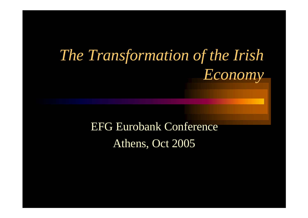#### *The Transformation of the Irish Economy*

#### EFG Eurobank Conference Athens, Oct 2005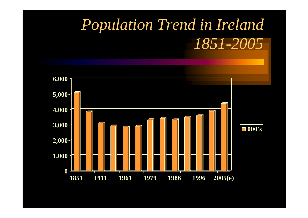#### *Population Trend in Ireland 1851-2005*

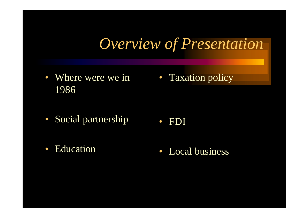#### *Overview of Presentation*

- Where were we in Taxation policy 1986
- Social partnership • FDI
- Education
- Local business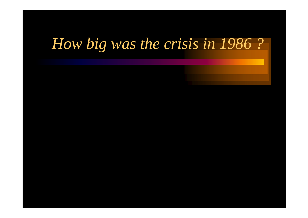#### *How big was the crisis in 1986 ?*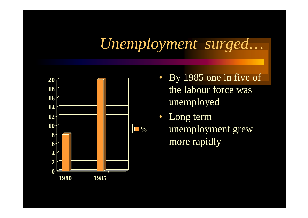#### *Unemployment surged…*



- By 1985 one in five of the labour force was unemployed
- Long term unemployment grew more rapidly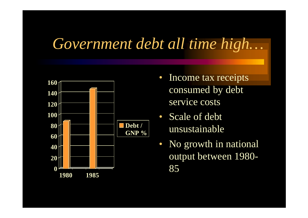#### *Government debt all time high…*



- Income tax receipts consumed by debt service costs
- Scale of debt unsustainable
- No growth in national output between 1980- 85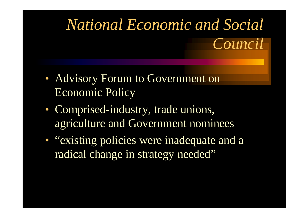## *National Economic and Social Council*

- Advisory Forum to Government on Economic Policy
- Comprised-industry, trade unions, agriculture and Government nominees
- "existing policies were inadequate and a radical change in strategy needed"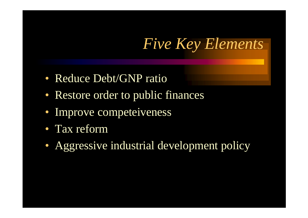#### *Five Key Elements*

- Reduce Debt/GNP ratio
- Restore order to public finances
- Improve competeiveness
- Tax reform
- Aggressive industrial development policy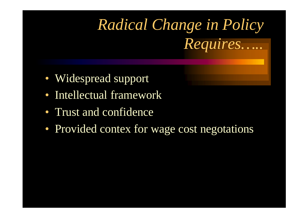### *Radical Change in Policy Requires…..*

- Widespread support
- Intellectual framework
- Trust and confidence
- Provided contex for wage cost negotations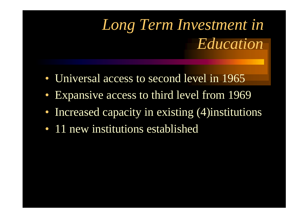#### *Long Term Investment in Education*

- Universal access to second level in 1965
- Expansive access to third level from 1969
- Increased capacity in existing (4) institutions
- 11 new institutions established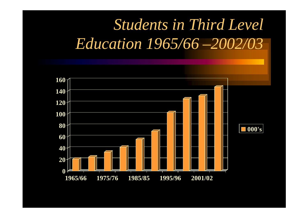#### *Students in Third Level Education 1965/66 –2002/03*

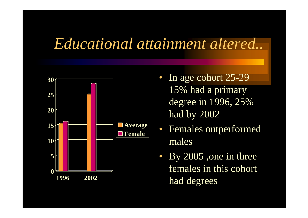#### *Educational attainment altered..*



- In age cohort 25-29 15% had a primary degree in 1996, 25% had by 2002
- Females outperformed males
- By 2005, one in three females in this cohort had degrees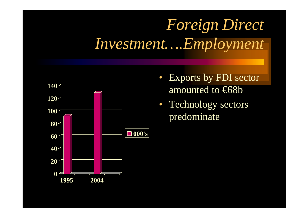#### *Foreign Direct Investment….Employment*



- Exports by FDI sector amounted to <del>€68b</del>
- Technology sectors predominate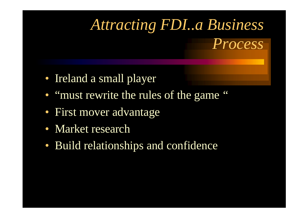#### *Attracting FDI..a Business Process*

- Ireland a small player
- "must rewrite the rules of the game"
- First mover advantage
- Market research
- Build relationships and confidence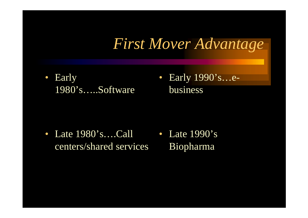#### *First Mover Advantage*

- Early 1980's…..Software
- Early 1990's…ebusiness

• Late 1980's....Call • Late 1990's centers/shared services Biopharma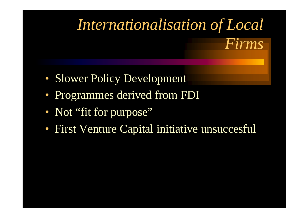# *Internationalisation of Local Firms*

- Slower Policy Development
- Programmes derived from FDI
- Not "fit for purpose"
- First Venture Capital initiative unsuccesful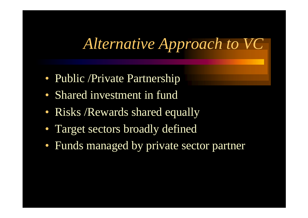#### *Alternative Approach to VC*

- Public /Private Partnership
- Shared investment in fund
- Risks / Rewards shared equally
- Target sectors broadly defined
- Funds managed by private sector partner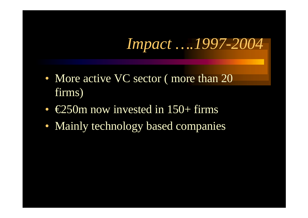#### *Impact ….1997-2004*

- More active VC sector (more than 20 firms)
- $\epsilon$ 250m now invested in 150+ firms
- Mainly technology based companies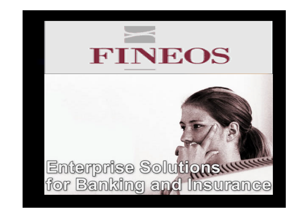

# Enterprise Solutionswww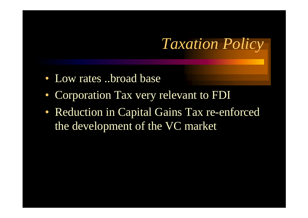#### *Taxation Policy*

- Low rates ..broad base
- Corporation Tax very relevant to FDI
- Reduction in Capital Gains Tax re-enforced the development of the VC market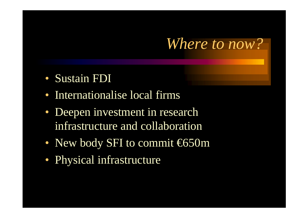#### *Where to now?*

- Sustain FDI
- Internationalise local firms
- Deepen investment in research infrastructure and collaboration
- New body SFI to commit  $650m$
- Physical infrastructure